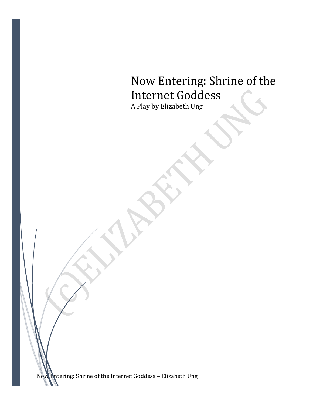# Now Entering: Shrine of the Internet Goddess

A Play by Elizabeth Ung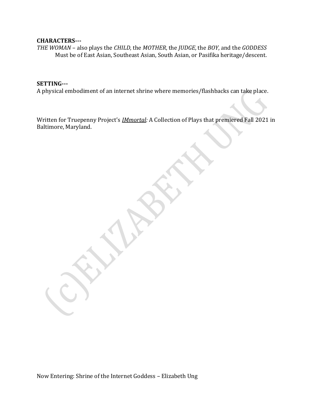#### **CHARACTERS---**

*THE WOMAN* – also plays the *CHILD*, the *MOTHER*, the *JUDGE*, the *BOY*, and the *GODDESS* Must be of East Asian, Southeast Asian, South Asian, or Pasifika heritage/descent.

#### **SETTING---**

A physical embodiment of an internet shrine where memories/flashbacks can take place.

Written for Truepenny Project's *IMmortal:* A Collection of Plays that premiered Fall 2021 in Baltimore, Maryland.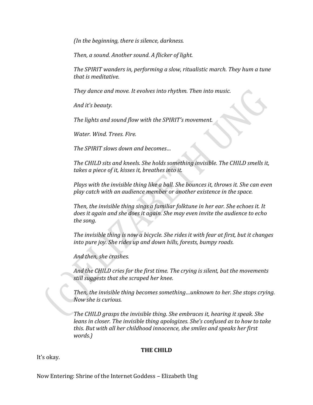*(In the beginning, there is silence, darkness.*

*Then, a sound. Another sound. A flicker of light.*

*The SPIRIT wanders in, performing a slow, ritualistic march. They hum a tune that is meditative.*

*They dance and move. It evolves into rhythm. Then into music.*

*And it's beauty.* 

*The lights and sound flow with the SPIRIT's movement.*

*Water. Wind. Trees. Fire.*

*The SPIRIT slows down and becomes…*

*The CHILD sits and kneels. She holds something invisible. The CHILD smells it, takes a piece of it, kisses it, breathes into it.*

*Plays with the invisible thing like a ball. She bounces it, throws it. She can even play catch with an audience member or another existence in the space.*

*Then, the invisible thing sings a familiar folktune in her ear. She echoes it. It does it again and she does it again. She may even invite the audience to echo the song.*

*The invisible thing is now a bicycle. She rides it with fear at first, but it changes into pure joy. She rides up and down hills, forests, bumpy roads.*

*And then, she crashes.*

*And the CHILD cries for the first time. The crying is silent, but the movements still suggests that she scraped her knee.*

*Then, the invisible thing becomes something…unknown to her. She stops crying. Now she is curious.*

*The CHILD grasps the invisible thing. She embraces it, hearing it speak. She leans in closer. The invisible thing apologizes. She's confused as to how to take this. But with all her childhood innocence, she smiles and speaks her first words.)*

#### **THE CHILD**

It's okay.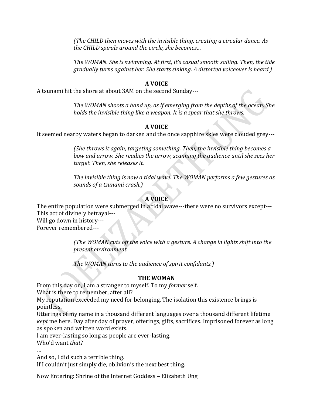*(The CHILD then moves with the invisible thing, creating a circular dance. As the CHILD spirals around the circle, she becomes…*

*The WOMAN. She is swimming. At first, it's casual smooth sailing. Then, the tide gradually turns against her. She starts sinking. A distorted voiceover is heard.)*

#### **A VOICE**

A tsunami hit the shore at about 3AM on the second Sunday---

*The WOMAN shoots a hand up, as if emerging from the depths of the ocean. She holds the invisible thing like a weapon. It is a spear that she throws.* 

#### **A VOICE**

It seemed nearby waters began to darken and the once sapphire skies were clouded grey---

*(She throws it again, targeting something. Then, the invisible thing becomes a bow and arrow. She readies the arrow, scanning the audience until she sees her target. Then, she releases it.*

*The invisible thing is now a tidal wave. The WOMAN performs a few gestures as sounds of a tsunami crash.)*

## **A VOICE**

The entire population were submerged in a tidal wave---there were no survivors except--- This act of divinely betrayal---

Will go down in history--- Forever remembered---

> *(The WOMAN cuts off the voice with a gesture. A change in lights shift into the present environment.*

*The WOMAN turns to the audience of spirit confidants.)*

## **THE WOMAN**

From this day on, I am a stranger to myself. To my *former* self.

What is there to remember, after all?

My reputation exceeded my need for belonging. The isolation this existence brings is pointless.

Utterings of my name in a thousand different languages over a thousand different lifetime *kept* me here. Day after day of prayer, offerings, gifts, sacrifices. Imprisoned forever as long as spoken and written word exists.

I am ever-lasting so long as people are ever-lasting.

Who'd want *that*?

…

And so, I did such a terrible thing.

If I couldn't just simply die, oblivion's the next best thing.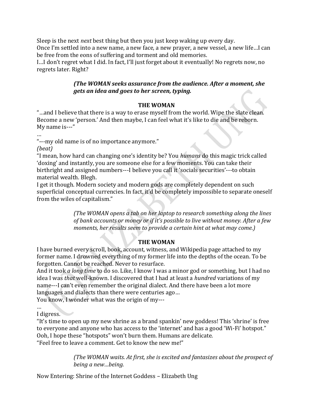Sleep is the next *next* best thing but then you just keep waking up every day. Once I'm settled into a new name, a new face, a new prayer, a new vessel, a new life…I can be free from the eons of suffering and torment and old memories.

I…I don't regret what I did. In fact, I'll just forget about it eventually! No regrets now, no regrets later. Right?

## *(The WOMAN seeks assurance from the audience. After a moment, she gets an idea and goes to her screen, typing.*

## **THE WOMAN**

"…and I believe that there is a way to erase myself from the world. Wipe the slate clean. Become a new 'person.' And then maybe, I can feel what it's like to die and be reborn. My name is---"

…

"---my old name is of no importance anymore."

*(beat)*

"I mean, how hard can changing one's identity be? You *humans* do this magic trick called 'doxing' and instantly, you are someone else for a few moments. You can take their birthright and assigned numbers---I believe you call it 'socials securities'---to obtain material wealth. Blegh.

I get it though. Modern society and modern gods are completely dependent on such superficial conceptual currencies. In fact, it'd be completely impossible to separate oneself from the wiles of capitalism."

> *(The WOMAN opens a tab on her laptop to research something along the lines of bank accounts or money or if it's possible to live without money. After a few moments, her results seem to provide a certain hint at what may come.)*

## **THE WOMAN**

I have burned every scroll, book, account, witness, and Wikipedia page attached to my former name. I drowned everything of my former life into the depths of the ocean. To be forgotten. Cannot be reached. Never to resurface.

And it took *a long time* to do so. Like, I know I was a minor god or something, but I had no idea I was *that* well-known. I discovered that I had at least a *hundred* variations of my name---I can't even remember the original dialect. And there have been a lot more languages and dialects than there were centuries ago…

You know, I wonder what was the origin of my---

… I digress.

"It's time to open up my new shrine as a brand spankin' new goddess! This 'shrine' is free to everyone and anyone who has access to the 'internet' and has a good 'Wi-Fi' hotspot." Ooh, I hope these "hotspots" won't burn them. Humans are delicate. "Feel free to leave a comment. Get to know the new me!"

> *(The WOMAN waits. At first, she is excited and fantasizes about the prospect of being a new…being.*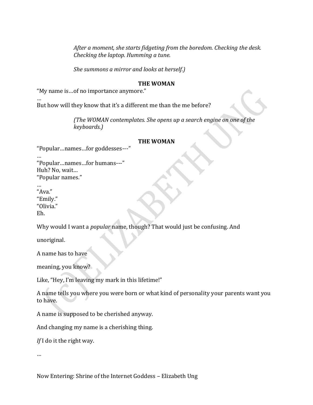*After a moment, she starts fidgeting from the boredom. Checking the desk. Checking the laptop. Humming a tune.*

*She summons a mirror and looks at herself.)*

#### **THE WOMAN**

"My name is…of no importance anymore."

… But how will they know that it's a different me than the me before?

> *(The WOMAN contemplates. She opens up a search engine on one of the keyboards.)*

#### **THE WOMAN**

"Popular…names…for goddesses---"

… "Popular…names…for humans---" Huh? No, wait… "Popular names."

… "Ava." "Emily." "Olivia." Eh.

Why would I want a *popular* name, though? That would just be confusing. And

unoriginal.

A name has to have

meaning, you know?

Like, "Hey, I'm leaving my mark in this lifetime!"

A name tells you where you were born or what kind of personality your parents want you to have.

A name is supposed to be cherished anyway.

And changing my name is a cherishing thing.

*If* I do it the right way.

…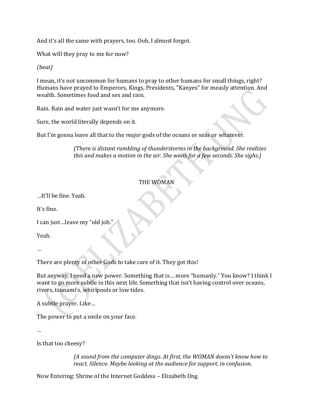And it's all the same with prayers, too. Ooh, I almost forgot.

What will they pray to me for now?

## *(beat)*

I mean, it's not uncommon for humans to pray to other humans for small things, right? Humans have prayed to Emperors, Kings, Presidents, "Kanyes" for measly attention. And wealth. Sometimes food and sex and rain.

Rain. Rain and water just wasn't for me anymore.

Sure, the world literally depends on it.

But I'm gonna leave all that to the *major* gods of the oceans or seas or whatever.

*(There is distant rumbling of thunderstorms in the background. She realizes this and makes a motion in the air. She waits for a few seconds. She sighs.)*

#### THE WOMAN

…It'll be fine. Yeah.

It's fine.

I can just...leave my "old job.

Yeah.

…

There are plenty of other Gods to take care of it. They got this!

But anyway, I need a new power. Something that is… more "humanly." You know? I think I want to go more subtle in this next life. Something that isn't having control over oceans, rivers, tsunami's, whirlpools or low tides.

A subtle prayer. Like…

The power to put a smile on your face.

…

Is that too cheesy?

*(A sound from the computer dings. At first, the WOMAN doesn't know how to react. Silence. Maybe looking at the audience for support, in confusion.*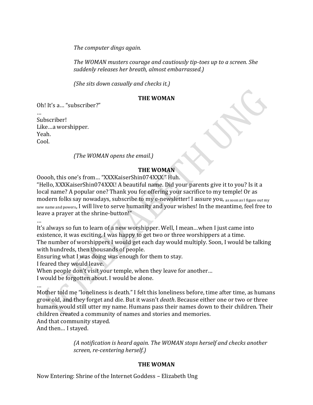*The computer dings again.* 

*The WOMAN musters courage and cautiously tip-toes up to a screen. She suddenly releases her breath, almost embarrassed.)*

*(She sits down casually and checks it.)*

#### **THE WOMAN**

Oh! It's a… "subscriber?"

Subscriber! Like…a worshipper. Yeah. Cool.

#### *(The WOMAN opens the email.)*

#### **THE WOMAN**

Ooooh, this one's from… "XXXKaiserShin074XXX." Huh.

"Hello, XXXKaiserShin074XXX! A beautiful name. Did your parents give it to you? Is it a local name? A popular one? Thank you for offering your sacrifice to my temple! Or as modern folks say nowadays, subscribe to my e-newsletter! I assure you, as soon as I figure out my new name and powers, I will live to serve humanity and your wishes! In the meantime, feel free to leave a prayer at the shrine-button!"

…

It's always so fun to learn of a new worshipper. Well, I mean…when I just came into existence, it was exciting. I was happy to get two or three worshippers at a time. The number of worshippers I would get each day would multiply. Soon, I would be talking with hundreds, then thousands of people.

Ensuring what I was doing was enough for them to stay.

I feared they would leave.

When people don't visit your temple, when they leave for another...

I would be forgotten about. I would be alone.

… Mother told me "loneliness is death." I felt this loneliness before, time after time, as humans grow old, and they forget and die. But it wasn't *death*. Because either one or two or three humans would still utter my name. Humans pass their names down to their children. Their children created a community of names and stories and memories.

And that community stayed.

And then… I stayed.

*(A notification is heard again. The WOMAN stops herself and checks another screen, re-centering herself.)*

## **THE WOMAN**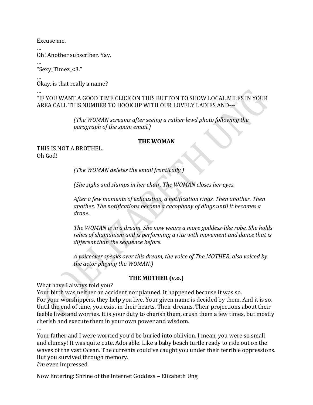Excuse me.

… Oh! Another subscriber. Yay.

… "Sexy\_Timez\_<3."

…

Okay, is that really a name?

#### … "IF YOU WANT A GOOD TIME CLICK ON THIS BUTTON TO SHOW LOCAL MILFS IN YOUR AREA CALL THIS NUMBER TO HOOK UP WITH OUR LOVELY LADIES AND---"

*(The WOMAN screams after seeing a rather lewd photo following the paragraph of the spam email.)*

#### **THE WOMAN**

THIS IS NOT A BROTHEL. Oh God!

*(The WOMAN deletes the email frantically.)*

*(She sighs and slumps in her chair. The WOMAN closes her eyes.*

*After a few moments of exhaustion, a notification rings. Then another. Then another. The notifications become a cacophony of dings until it becomes a drone.*

*The WOMAN is in a dream. She now wears a more goddess-like robe. She holds relics of shamanism and is performing a rite with movement and dance that is different than the sequence before.*

*A voiceover speaks over this dream, the voice of The MOTHER, also voiced by the actor playing the WOMAN.)*

## **THE MOTHER (v.o.)**

What have I always told you?

Your birth was neither an accident nor planned. It happened because it was so. For your worshippers, they help you live. Your given name is decided by them. And it is so. Until the end of time, you exist in their hearts. Their dreams. Their projections about their feeble lives and worries. It is your duty to cherish them, crush them a few times, but mostly cherish and execute them in your own power and wisdom.

…

Your father and I were worried you'd be buried into oblivion. I mean, you were so small and clumsy! It was quite cute. Adorable. Like a baby beach turtle ready to ride out on the waves of the vast Ocean. The currents could've caught you under their terrible oppressions. But you survived through memory. *I'm* even impressed.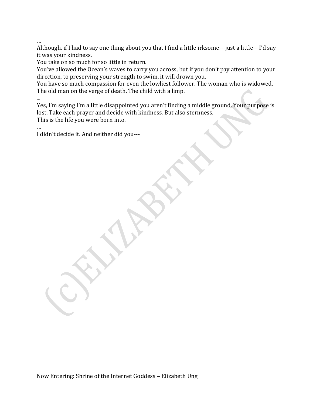…

...

Although, if I had to say one thing about you that I find a little irksome---just a little---I'd say it was your kindness.

You take on so much for so little in return.

You've allowed the Ocean's waves to carry you across, but if you don't pay attention to your direction, to preserving your strength to swim, it will drown you.

You have so much compassion for even the lowliest follower. The woman who is widowed. The old man on the verge of death. The child with a limp.

Yes, I'm saying I'm a little disappointed you aren't finding a middle ground. Your purpose is lost. Take each prayer and decide with kindness. But also sternness. This is the life you were born into.

… I didn't decide it. And neither did you---